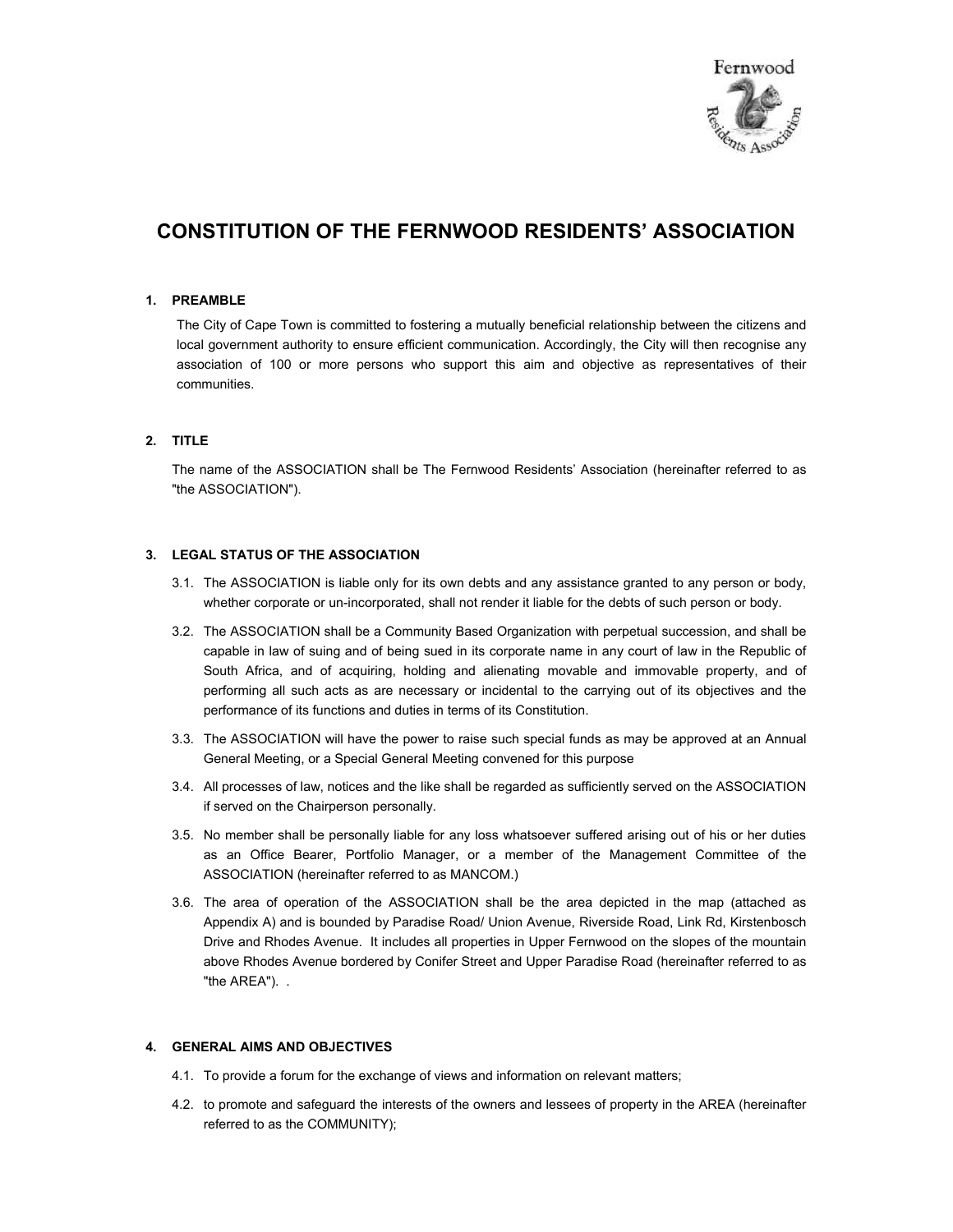

# **CONSTITUTION OF THE FERNWOOD RESIDENTS' ASSOCIATION**

## **1. PREAMBLE**

The City of Cape Town is committed to fostering a mutually beneficial relationship between the citizens and local government authority to ensure efficient communication. Accordingly, the City will then recognise any association of 100 or more persons who support this aim and objective as representatives of their communities.

# **2. TITLE**

The name of the ASSOCIATION shall be The Fernwood Residents' Association (hereinafter referred to as "the ASSOCIATION").

# **3. LEGAL STATUS OF THE ASSOCIATION**

- 3.1. The ASSOCIATION is liable only for its own debts and any assistance granted to any person or body, whether corporate or un-incorporated, shall not render it liable for the debts of such person or body.
- 3.2. The ASSOCIATION shall be a Community Based Organization with perpetual succession, and shall be capable in law of suing and of being sued in its corporate name in any court of law in the Republic of South Africa, and of acquiring, holding and alienating movable and immovable property, and of performing all such acts as are necessary or incidental to the carrying out of its objectives and the performance of its functions and duties in terms of its Constitution.
- 3.3. The ASSOCIATION will have the power to raise such special funds as may be approved at an Annual General Meeting, or a Special General Meeting convened for this purpose
- 3.4. All processes of law, notices and the like shall be regarded as sufficiently served on the ASSOCIATION if served on the Chairperson personally.
- 3.5. No member shall be personally liable for any loss whatsoever suffered arising out of his or her duties as an Office Bearer, Portfolio Manager, or a member of the Management Committee of the ASSOCIATION (hereinafter referred to as MANCOM.)
- 3.6. The area of operation of the ASSOCIATION shall be the area depicted in the map (attached as Appendix A) and is bounded by Paradise Road/ Union Avenue, Riverside Road, Link Rd, Kirstenbosch Drive and Rhodes Avenue. It includes all properties in Upper Fernwood on the slopes of the mountain above Rhodes Avenue bordered by Conifer Street and Upper Paradise Road (hereinafter referred to as "the AREA"). .

## **4. GENERAL AIMS AND OBJECTIVES**

- 4.1. To provide a forum for the exchange of views and information on relevant matters;
- 4.2. to promote and safeguard the interests of the owners and lessees of property in the AREA (hereinafter referred to as the COMMUNITY);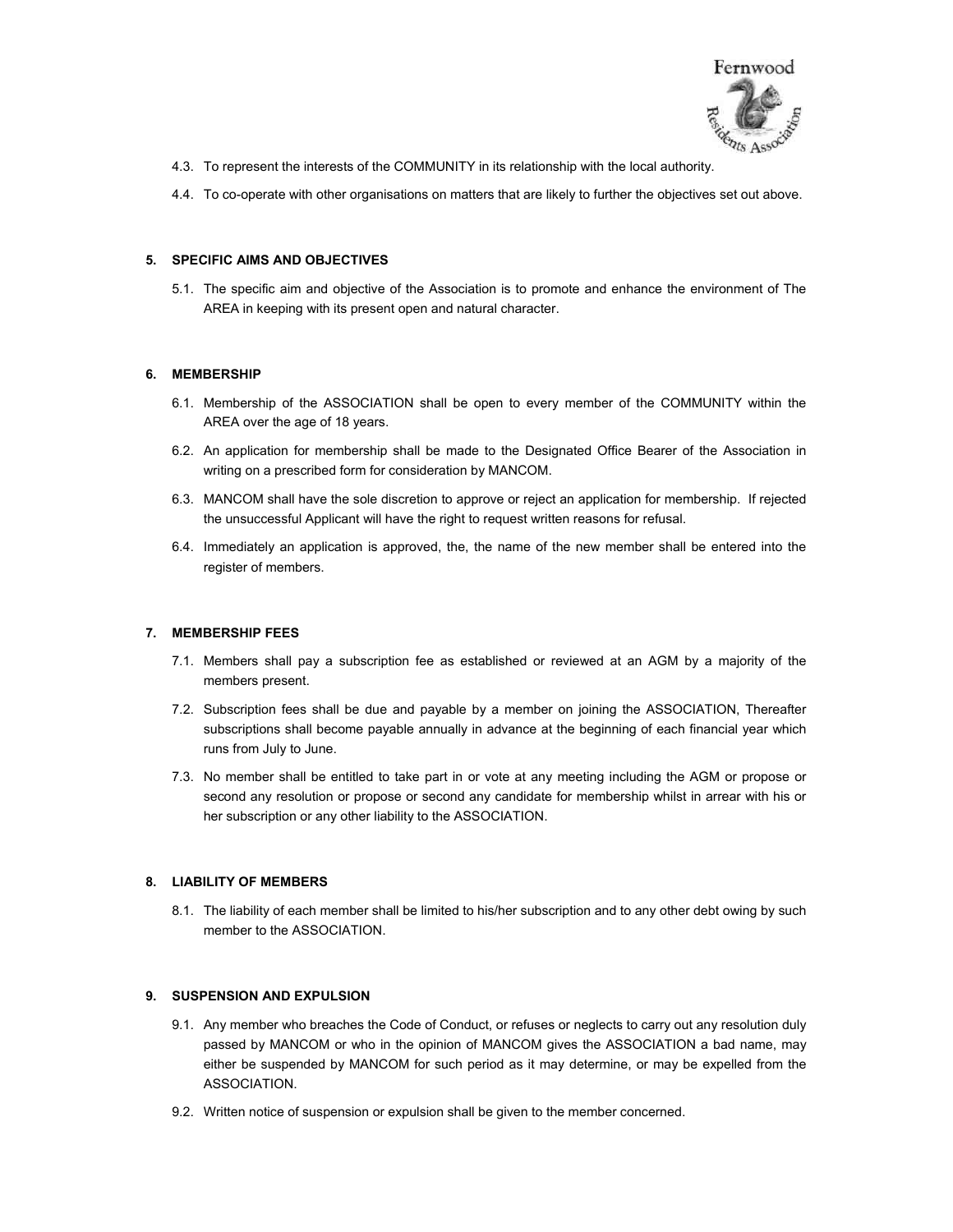

- 4.3. To represent the interests of the COMMUNITY in its relationship with the local authority.
- 4.4. To co-operate with other organisations on matters that are likely to further the objectives set out above.

## **5. SPECIFIC AIMS AND OBJECTIVES**

5.1. The specific aim and objective of the Association is to promote and enhance the environment of The AREA in keeping with its present open and natural character.

#### **6. MEMBERSHIP**

- 6.1. Membership of the ASSOCIATION shall be open to every member of the COMMUNITY within the AREA over the age of 18 years.
- 6.2. An application for membership shall be made to the Designated Office Bearer of the Association in writing on a prescribed form for consideration by MANCOM.
- 6.3. MANCOM shall have the sole discretion to approve or reject an application for membership. If rejected the unsuccessful Applicant will have the right to request written reasons for refusal.
- 6.4. Immediately an application is approved, the, the name of the new member shall be entered into the register of members.

## **7. MEMBERSHIP FEES**

- 7.1. Members shall pay a subscription fee as established or reviewed at an AGM by a majority of the members present.
- 7.2. Subscription fees shall be due and payable by a member on joining the ASSOCIATION, Thereafter subscriptions shall become payable annually in advance at the beginning of each financial year which runs from July to June.
- 7.3. No member shall be entitled to take part in or vote at any meeting including the AGM or propose or second any resolution or propose or second any candidate for membership whilst in arrear with his or her subscription or any other liability to the ASSOCIATION.

## **8. LIABILITY OF MEMBERS**

8.1. The liability of each member shall be limited to his/her subscription and to any other debt owing by such member to the ASSOCIATION.

#### **9. SUSPENSION AND EXPULSION**

- 9.1. Any member who breaches the Code of Conduct, or refuses or neglects to carry out any resolution duly passed by MANCOM or who in the opinion of MANCOM gives the ASSOCIATION a bad name, may either be suspended by MANCOM for such period as it may determine, or may be expelled from the ASSOCIATION.
- 9.2. Written notice of suspension or expulsion shall be given to the member concerned.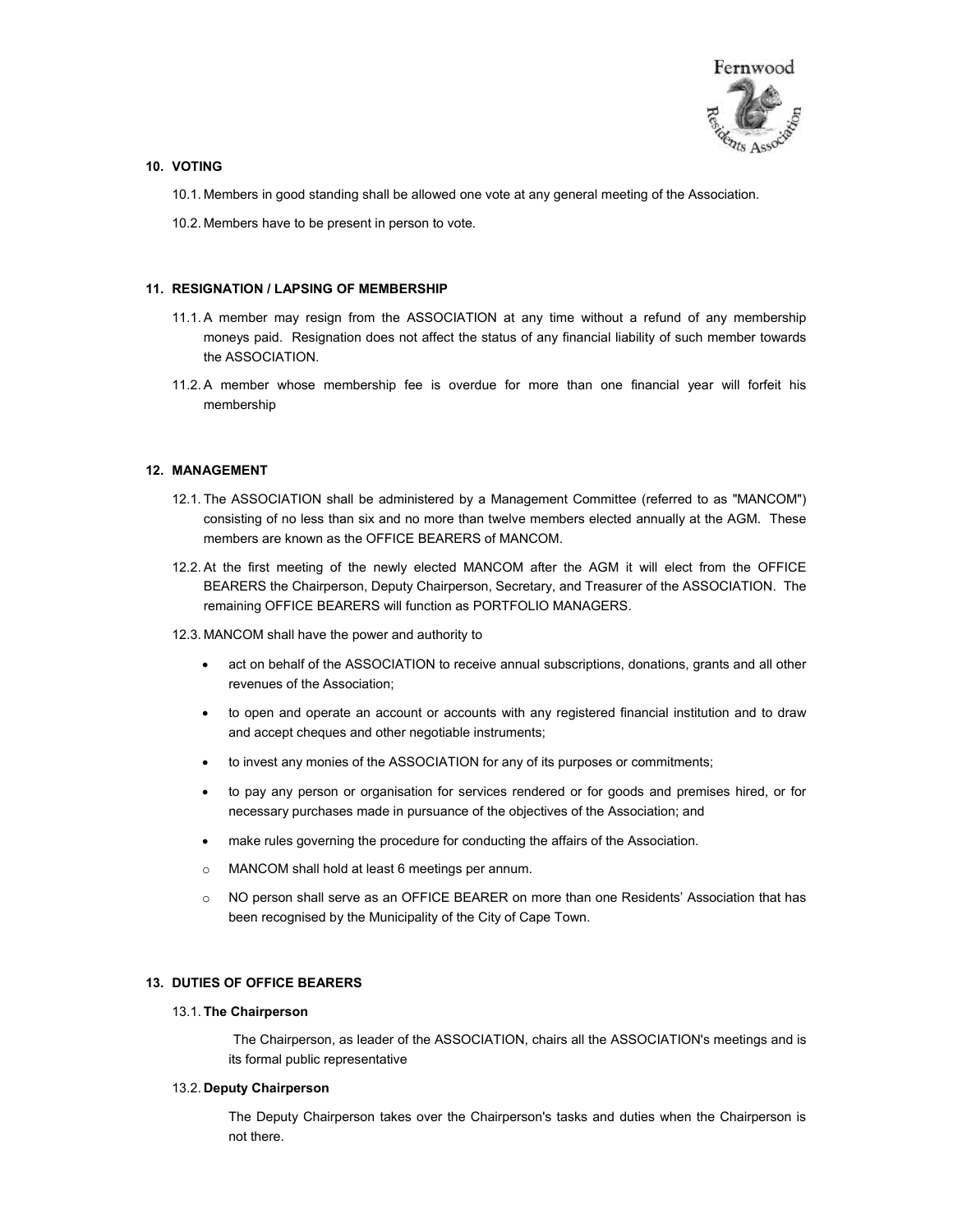

## **10. VOTING**

- 10.1. Members in good standing shall be allowed one vote at any general meeting of the Association.
- 10.2. Members have to be present in person to vote.

## **11. RESIGNATION / LAPSING OF MEMBERSHIP**

- 11.1. A member may resign from the ASSOCIATION at any time without a refund of any membership moneys paid. Resignation does not affect the status of any financial liability of such member towards the ASSOCIATION.
- 11.2. A member whose membership fee is overdue for more than one financial year will forfeit his membership

## **12. MANAGEMENT**

- 12.1. The ASSOCIATION shall be administered by a Management Committee (referred to as "MANCOM") consisting of no less than six and no more than twelve members elected annually at the AGM. These members are known as the OFFICE BEARERS of MANCOM.
- 12.2. At the first meeting of the newly elected MANCOM after the AGM it will elect from the OFFICE BEARERS the Chairperson, Deputy Chairperson, Secretary, and Treasurer of the ASSOCIATION. The remaining OFFICE BEARERS will function as PORTFOLIO MANAGERS.
- 12.3. MANCOM shall have the power and authority to
	- act on behalf of the ASSOCIATION to receive annual subscriptions, donations, grants and all other revenues of the Association;
	- to open and operate an account or accounts with any registered financial institution and to draw and accept cheques and other negotiable instruments;
	- to invest any monies of the ASSOCIATION for any of its purposes or commitments;
	- to pay any person or organisation for services rendered or for goods and premises hired, or for necessary purchases made in pursuance of the objectives of the Association; and
	- make rules governing the procedure for conducting the affairs of the Association.
	- o MANCOM shall hold at least 6 meetings per annum.
	- o NO person shall serve as an OFFICE BEARER on more than one Residents' Association that has been recognised by the Municipality of the City of Cape Town.

# **13. DUTIES OF OFFICE BEARERS**

### 13.1. **The Chairperson**

The Chairperson, as leader of the ASSOCIATION, chairs all the ASSOCIATION's meetings and is its formal public representative

## 13.2. **Deputy Chairperson**

The Deputy Chairperson takes over the Chairperson's tasks and duties when the Chairperson is not there.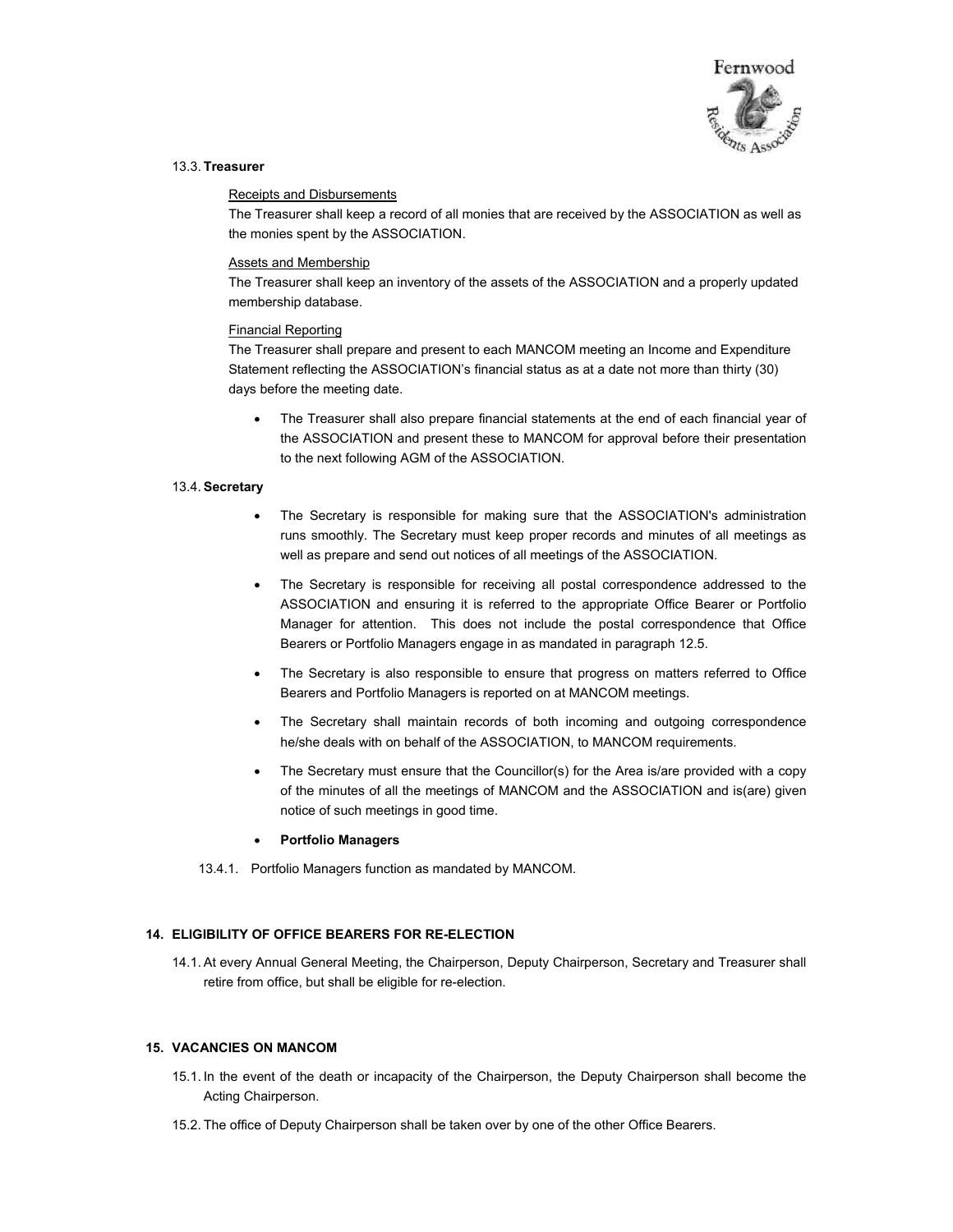

#### 13.3. **Treasurer**

#### Receipts and Disbursements

The Treasurer shall keep a record of all monies that are received by the ASSOCIATION as well as the monies spent by the ASSOCIATION.

#### Assets and Membership

The Treasurer shall keep an inventory of the assets of the ASSOCIATION and a properly updated membership database.

#### Financial Reporting

The Treasurer shall prepare and present to each MANCOM meeting an Income and Expenditure Statement reflecting the ASSOCIATION's financial status as at a date not more than thirty (30) days before the meeting date.

• The Treasurer shall also prepare financial statements at the end of each financial year of the ASSOCIATION and present these to MANCOM for approval before their presentation to the next following AGM of the ASSOCIATION.

## 13.4. **Secretary**

- The Secretary is responsible for making sure that the ASSOCIATION's administration runs smoothly. The Secretary must keep proper records and minutes of all meetings as well as prepare and send out notices of all meetings of the ASSOCIATION.
- The Secretary is responsible for receiving all postal correspondence addressed to the ASSOCIATION and ensuring it is referred to the appropriate Office Bearer or Portfolio Manager for attention. This does not include the postal correspondence that Office Bearers or Portfolio Managers engage in as mandated in paragraph 12.5.
- The Secretary is also responsible to ensure that progress on matters referred to Office Bearers and Portfolio Managers is reported on at MANCOM meetings.
- The Secretary shall maintain records of both incoming and outgoing correspondence he/she deals with on behalf of the ASSOCIATION, to MANCOM requirements.
- The Secretary must ensure that the Councillor(s) for the Area is/are provided with a copy of the minutes of all the meetings of MANCOM and the ASSOCIATION and is(are) given notice of such meetings in good time.
- **Portfolio Managers**
- 13.4.1. Portfolio Managers function as mandated by MANCOM.

## **14. ELIGIBILITY OF OFFICE BEARERS FOR RE-ELECTION**

14.1. At every Annual General Meeting, the Chairperson, Deputy Chairperson, Secretary and Treasurer shall retire from office, but shall be eligible for re-election.

## **15. VACANCIES ON MANCOM**

- 15.1. In the event of the death or incapacity of the Chairperson, the Deputy Chairperson shall become the Acting Chairperson.
- 15.2. The office of Deputy Chairperson shall be taken over by one of the other Office Bearers.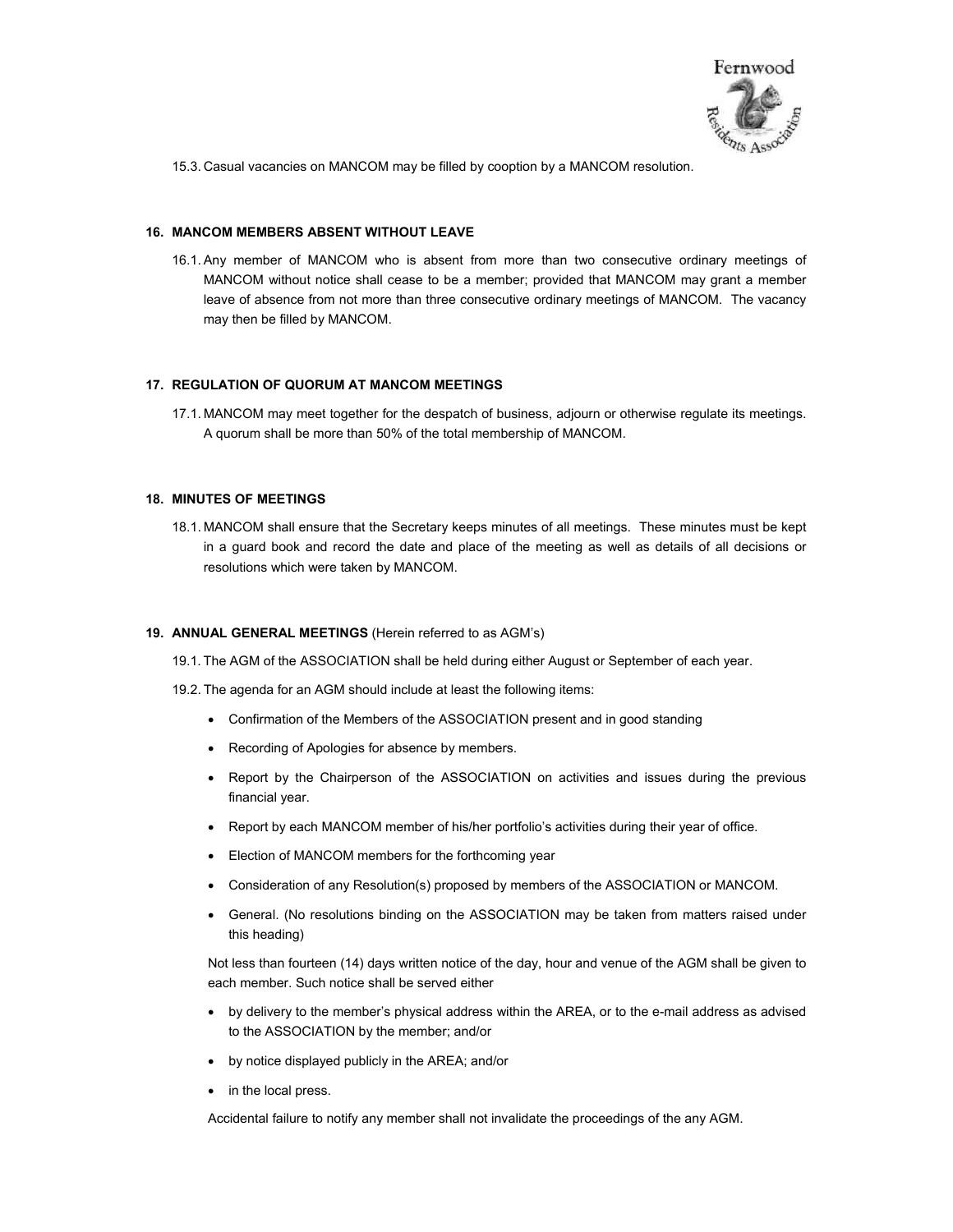

15.3. Casual vacancies on MANCOM may be filled by cooption by a MANCOM resolution.

## **16. MANCOM MEMBERS ABSENT WITHOUT LEAVE**

16.1. Any member of MANCOM who is absent from more than two consecutive ordinary meetings of MANCOM without notice shall cease to be a member; provided that MANCOM may grant a member leave of absence from not more than three consecutive ordinary meetings of MANCOM. The vacancy may then be filled by MANCOM.

## **17. REGULATION OF QUORUM AT MANCOM MEETINGS**

17.1. MANCOM may meet together for the despatch of business, adjourn or otherwise regulate its meetings. A quorum shall be more than 50% of the total membership of MANCOM.

# **18. MINUTES OF MEETINGS**

18.1. MANCOM shall ensure that the Secretary keeps minutes of all meetings. These minutes must be kept in a guard book and record the date and place of the meeting as well as details of all decisions or resolutions which were taken by MANCOM.

#### **19. ANNUAL GENERAL MEETINGS** (Herein referred to as AGM's)

- 19.1. The AGM of the ASSOCIATION shall be held during either August or September of each year.
- 19.2. The agenda for an AGM should include at least the following items:
	- Confirmation of the Members of the ASSOCIATION present and in good standing
	- Recording of Apologies for absence by members.
	- Report by the Chairperson of the ASSOCIATION on activities and issues during the previous financial year.
	- Report by each MANCOM member of his/her portfolio's activities during their year of office.
	- Election of MANCOM members for the forthcoming year
	- Consideration of any Resolution(s) proposed by members of the ASSOCIATION or MANCOM.
	- General. (No resolutions binding on the ASSOCIATION may be taken from matters raised under this heading)

Not less than fourteen (14) days written notice of the day, hour and venue of the AGM shall be given to each member. Such notice shall be served either

- by delivery to the member's physical address within the AREA, or to the e-mail address as advised to the ASSOCIATION by the member; and/or
- by notice displayed publicly in the AREA; and/or
- in the local press.

Accidental failure to notify any member shall not invalidate the proceedings of the any AGM.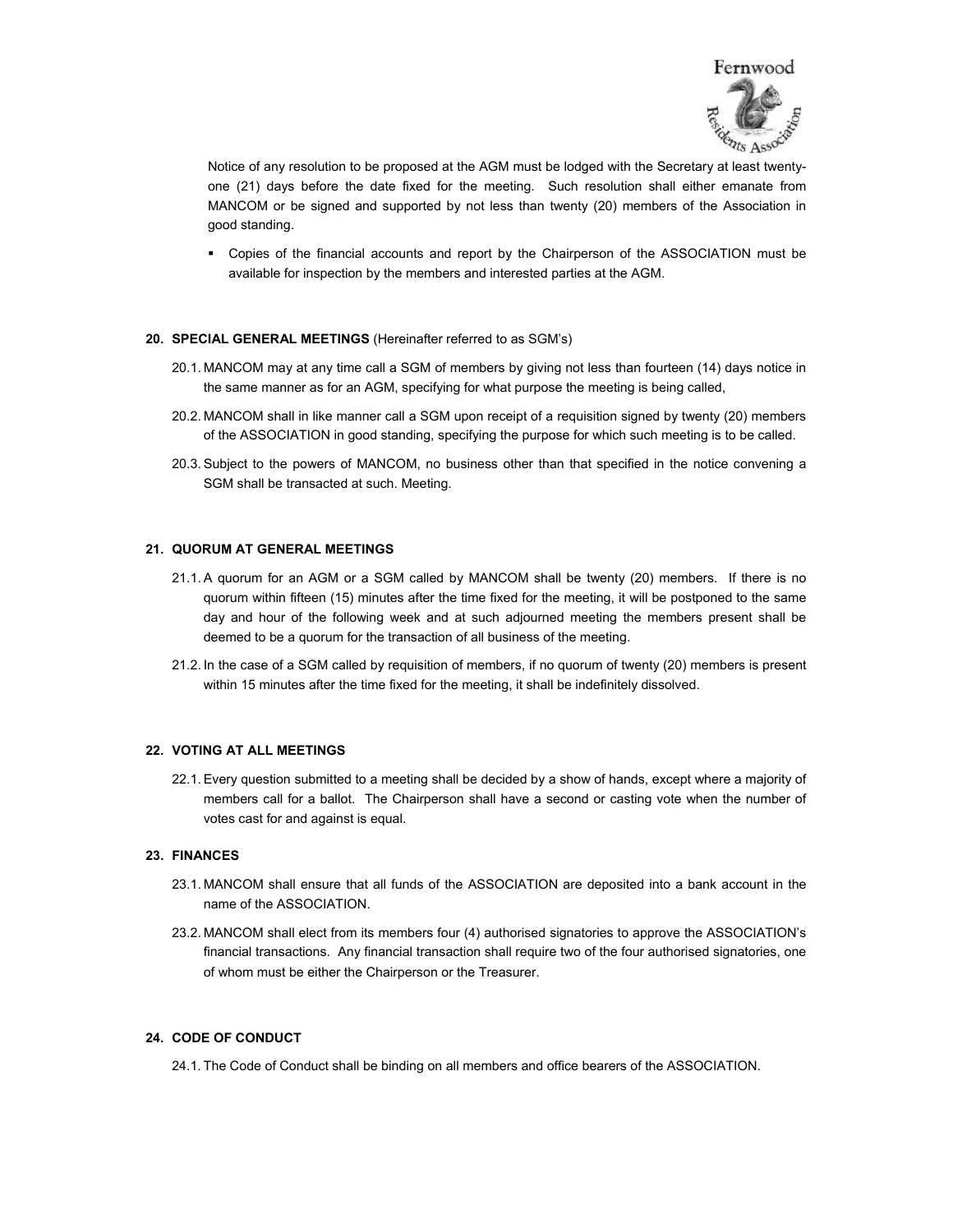

Notice of any resolution to be proposed at the AGM must be lodged with the Secretary at least twentyone (21) days before the date fixed for the meeting. Such resolution shall either emanate from MANCOM or be signed and supported by not less than twenty (20) members of the Association in good standing.

 Copies of the financial accounts and report by the Chairperson of the ASSOCIATION must be available for inspection by the members and interested parties at the AGM.

#### **20. SPECIAL GENERAL MEETINGS** (Hereinafter referred to as SGM's)

- 20.1. MANCOM may at any time call a SGM of members by giving not less than fourteen (14) days notice in the same manner as for an AGM, specifying for what purpose the meeting is being called,
- 20.2. MANCOM shall in like manner call a SGM upon receipt of a requisition signed by twenty (20) members of the ASSOCIATION in good standing, specifying the purpose for which such meeting is to be called.
- 20.3. Subject to the powers of MANCOM, no business other than that specified in the notice convening a SGM shall be transacted at such. Meeting.

#### **21. QUORUM AT GENERAL MEETINGS**

- 21.1. A quorum for an AGM or a SGM called by MANCOM shall be twenty (20) members. If there is no quorum within fifteen (15) minutes after the time fixed for the meeting, it will be postponed to the same day and hour of the following week and at such adjourned meeting the members present shall be deemed to be a quorum for the transaction of all business of the meeting.
- 21.2. In the case of a SGM called by requisition of members, if no quorum of twenty (20) members is present within 15 minutes after the time fixed for the meeting, it shall be indefinitely dissolved.

#### **22. VOTING AT ALL MEETINGS**

22.1. Every question submitted to a meeting shall be decided by a show of hands, except where a majority of members call for a ballot. The Chairperson shall have a second or casting vote when the number of votes cast for and against is equal.

#### **23. FINANCES**

- 23.1. MANCOM shall ensure that all funds of the ASSOCIATION are deposited into a bank account in the name of the ASSOCIATION.
- 23.2. MANCOM shall elect from its members four (4) authorised signatories to approve the ASSOCIATION's financial transactions. Any financial transaction shall require two of the four authorised signatories, one of whom must be either the Chairperson or the Treasurer.

# **24. CODE OF CONDUCT**

24.1. The Code of Conduct shall be binding on all members and office bearers of the ASSOCIATION.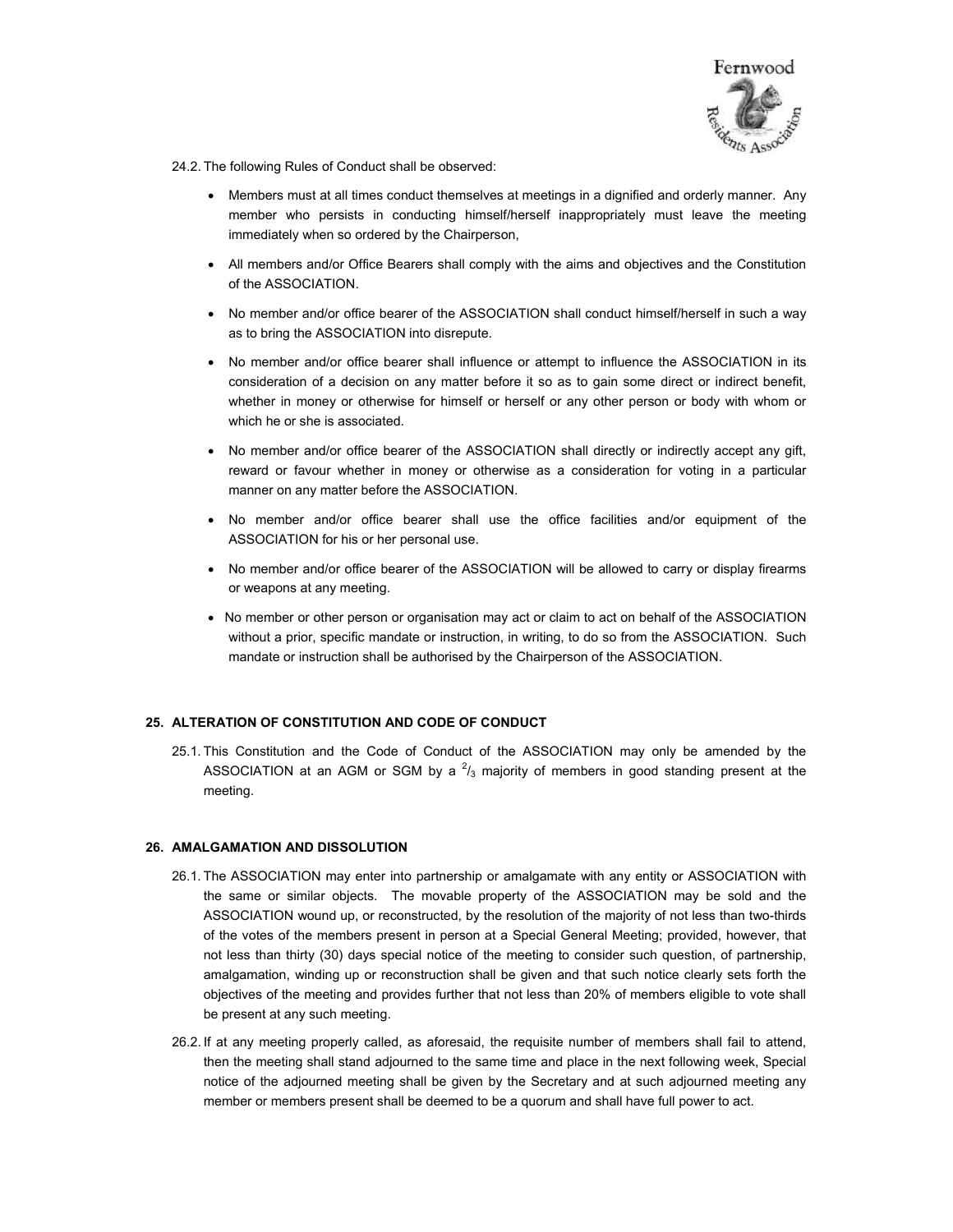

24.2. The following Rules of Conduct shall be observed:

- Members must at all times conduct themselves at meetings in a dignified and orderly manner. Any member who persists in conducting himself/herself inappropriately must leave the meeting immediately when so ordered by the Chairperson,
- All members and/or Office Bearers shall comply with the aims and objectives and the Constitution of the ASSOCIATION.
- No member and/or office bearer of the ASSOCIATION shall conduct himself/herself in such a way as to bring the ASSOCIATION into disrepute.
- No member and/or office bearer shall influence or attempt to influence the ASSOCIATION in its consideration of a decision on any matter before it so as to gain some direct or indirect benefit, whether in money or otherwise for himself or herself or any other person or body with whom or which he or she is associated.
- No member and/or office bearer of the ASSOCIATION shall directly or indirectly accept any gift, reward or favour whether in money or otherwise as a consideration for voting in a particular manner on any matter before the ASSOCIATION.
- No member and/or office bearer shall use the office facilities and/or equipment of the ASSOCIATION for his or her personal use.
- No member and/or office bearer of the ASSOCIATION will be allowed to carry or display firearms or weapons at any meeting.
- No member or other person or organisation may act or claim to act on behalf of the ASSOCIATION without a prior, specific mandate or instruction, in writing, to do so from the ASSOCIATION. Such mandate or instruction shall be authorised by the Chairperson of the ASSOCIATION.

#### **25. ALTERATION OF CONSTITUTION AND CODE OF CONDUCT**

25.1. This Constitution and the Code of Conduct of the ASSOCIATION may only be amended by the ASSOCIATION at an AGM or SGM by a  $2/3$  majority of members in good standing present at the meeting.

## **26. AMALGAMATION AND DISSOLUTION**

- 26.1. The ASSOCIATION may enter into partnership or amalgamate with any entity or ASSOCIATION with the same or similar objects. The movable property of the ASSOCIATION may be sold and the ASSOCIATION wound up, or reconstructed, by the resolution of the majority of not less than two-thirds of the votes of the members present in person at a Special General Meeting; provided, however, that not less than thirty (30) days special notice of the meeting to consider such question, of partnership, amalgamation, winding up or reconstruction shall be given and that such notice clearly sets forth the objectives of the meeting and provides further that not less than 20% of members eligible to vote shall be present at any such meeting.
- 26.2. If at any meeting properly called, as aforesaid, the requisite number of members shall fail to attend, then the meeting shall stand adjourned to the same time and place in the next following week, Special notice of the adjourned meeting shall be given by the Secretary and at such adjourned meeting any member or members present shall be deemed to be a quorum and shall have full power to act.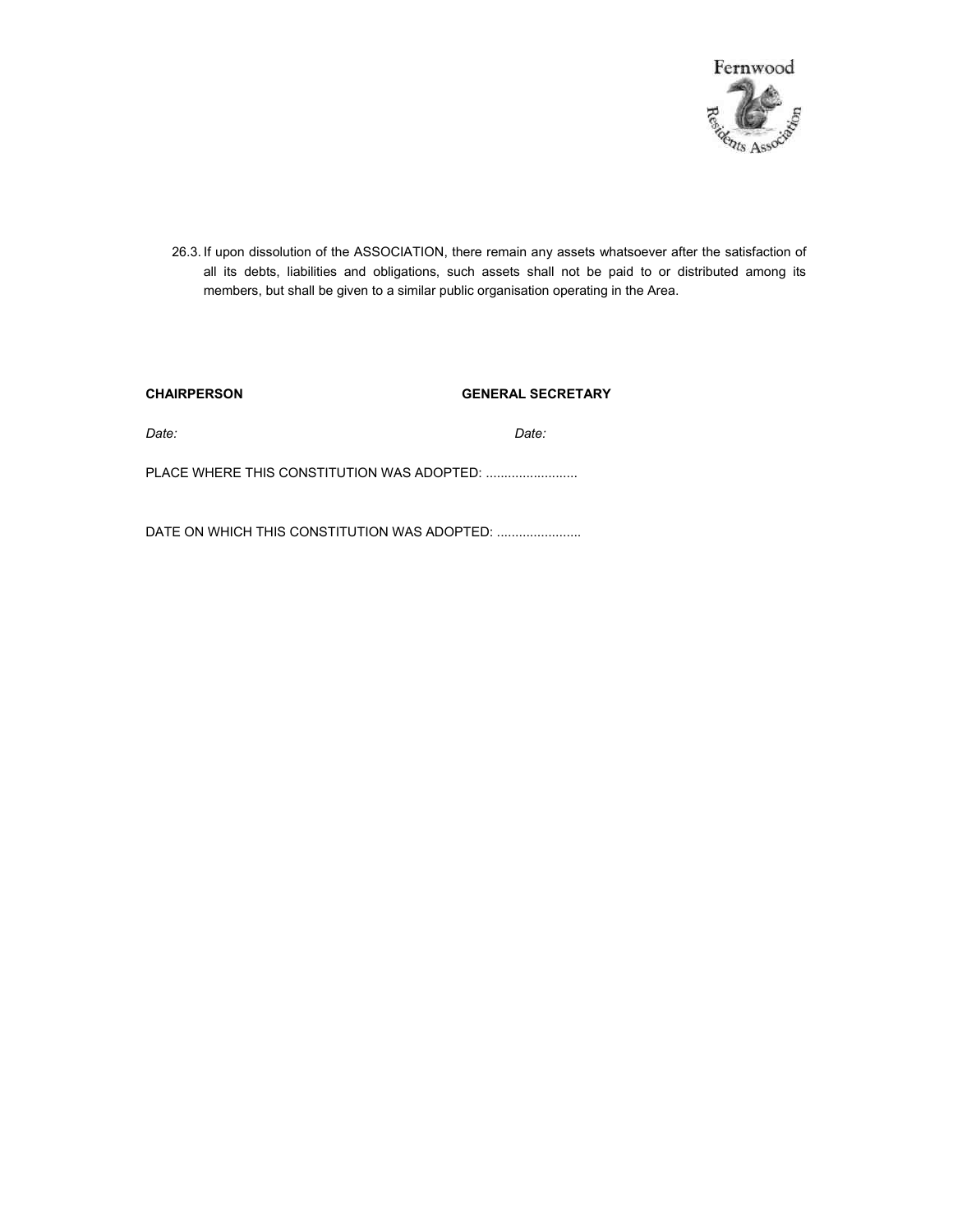

26.3. If upon dissolution of the ASSOCIATION, there remain any assets whatsoever after the satisfaction of all its debts, liabilities and obligations, such assets shall not be paid to or distributed among its members, but shall be given to a similar public organisation operating in the Area.

| <b>CHAIRPERSON</b>                         | <b>GENERAL SECRETARY</b> |
|--------------------------------------------|--------------------------|
| Date:                                      | Date:                    |
| PLACE WHERE THIS CONSTITUTION WAS ADOPTED: |                          |
|                                            |                          |

DATE ON WHICH THIS CONSTITUTION WAS ADOPTED: ........................